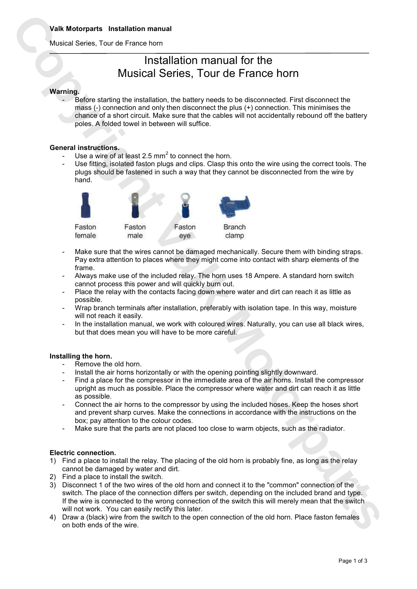Musical Series, Tour de France horn

# Installation manual for the Musical Series, Tour de France horn

#### **Warning.**

Before starting the installation, the battery needs to be disconnected. First disconnect the mass (-) connection and only then disconnect the plus (+) connection. This minimises the chance of a short circuit. Make sure that the cables will not accidentally rebound off the battery poles. A folded towel in between will suffice.

#### **General instructions.**

- Use a wire of at least 2.5 mm<sup>2</sup> to connect the horn.
- Use fitting, isolated faston plugs and clips. Clasp this onto the wire using the correct tools. The plugs should be fastened in such a way that they cannot be disconnected from the wire by hand.



- Make sure that the wires cannot be damaged mechanically. Secure them with binding straps. Pay extra attention to places where they might come into contact with sharp elements of the frame.
- Always make use of the included relay. The horn uses 18 Ampere. A standard horn switch cannot process this power and will quickly burn out.
- Place the relay with the contacts facing down where water and dirt can reach it as little as possible.
- Wrap branch terminals after installation, preferably with isolation tape. In this way, moisture will not reach it easily.
- In the installation manual, we work with coloured wires. Naturally, you can use all black wires, but that does mean you will have to be more careful.

#### **Installing the horn.**

- Remove the old horn.
- Install the air horns horizontally or with the opening pointing slightly downward.
- Find a place for the compressor in the immediate area of the air horns. Install the compressor upright as much as possible. Place the compressor where water and dirt can reach it as little as possible.
- Connect the air horns to the compressor by using the included hoses. Keep the hoses short and prevent sharp curves. Make the connections in accordance with the instructions on the box; pay attention to the colour codes.
- Make sure that the parts are not placed too close to warm objects, such as the radiator.

#### **Electric connection.**

- 1) Find a place to install the relay. The placing of the old horn is probably fine, as long as the relay cannot be damaged by water and dirt.
- 2) Find a place to install the switch.
- 3) Disconnect 1 of the two wires of the old horn and connect it to the "common" connection of the switch. The place of the connection differs per switch, depending on the included brand and type. If the wire is connected to the wrong connection of the switch this will merely mean that the switch will not work. You can easily rectify this later.
- 4) Draw a (black) wire from the switch to the open connection of the old horn. Place faston females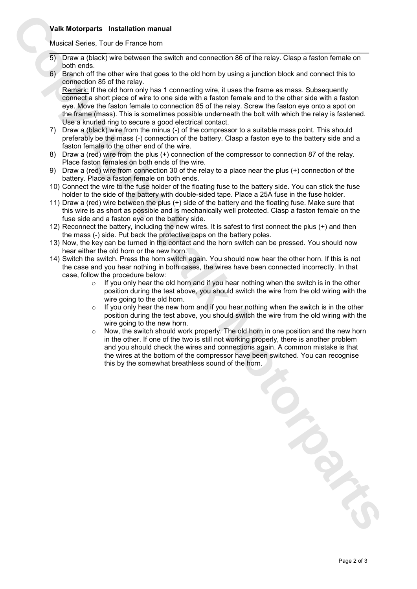### **Valk Motorparts Installation manual**

Musical Series, Tour de France horn

- 5) Draw a (black) wire between the switch and connection 86 of the relay. Clasp a faston female on both ends.
- 6) Branch off the other wire that goes to the old horn by using a junction block and connect this to connection 85 of the relay.

Remark: If the old horn only has 1 connecting wire, it uses the frame as mass. Subsequently connect a short piece of wire to one side with a faston female and to the other side with a faston eye. Move the faston female to connection 85 of the relay. Screw the faston eye onto a spot on the frame (mass). This is sometimes possible underneath the bolt with which the relay is fastened. Use a knurled ring to secure a good electrical contact.

- 7) Draw a (black) wire from the minus (-) of the compressor to a suitable mass point. This should preferably be the mass (-) connection of the battery. Clasp a faston eye to the battery side and a faston female to the other end of the wire.
- 8) Draw a (red) wire from the plus (+) connection of the compressor to connection 87 of the relay. Place faston females on both ends of the wire.
- 9) Draw a (red) wire from connection 30 of the relay to a place near the plus (+) connection of the battery. Place a faston female on both ends.
- 10) Connect the wire to the fuse holder of the floating fuse to the battery side. You can stick the fuse holder to the side of the battery with double-sided tape. Place a 25A fuse in the fuse holder.
- 11) Draw a (red) wire between the plus (+) side of the battery and the floating fuse. Make sure that this wire is as short as possible and is mechanically well protected. Clasp a faston female on the fuse side and a faston eye on the battery side.
- 12) Reconnect the battery, including the new wires. It is safest to first connect the plus (+) and then the mass (-) side. Put back the protective caps on the battery poles.
- 13) Now, the key can be turned in the contact and the horn switch can be pressed. You should now hear either the old horn or the new horn.
- 14) Switch the switch. Press the horn switch again. You should now hear the other horn. If this is not the case and you hear nothing in both cases, the wires have been connected incorrectly. In that case, follow the procedure below:
	- $\circ$  If you only hear the old horn and if you hear nothing when the switch is in the other position during the test above, you should switch the wire from the old wiring with the wire going to the old horn.
	- $\circ$  If you only hear the new horn and if you hear nothing when the switch is in the other position during the test above, you should switch the wire from the old wiring with the wire going to the new horn.
	- Now, the switch should work properly. The old horn in one position and the new horn in the other. If one of the two is still not working properly, there is another problem and you should check the wires and connections again. A common mistake is that the wires at the bottom of the compressor have been switched. You can recognise

Valk Motorparts Installation manual<br>
To Course, Juer de France horn.<br>
To Course, Suite in the sole to the sole and correction 80 of the neby. Copy a fraction fermule of<br>
\$2 Stanched The detail wave breathless sound of the